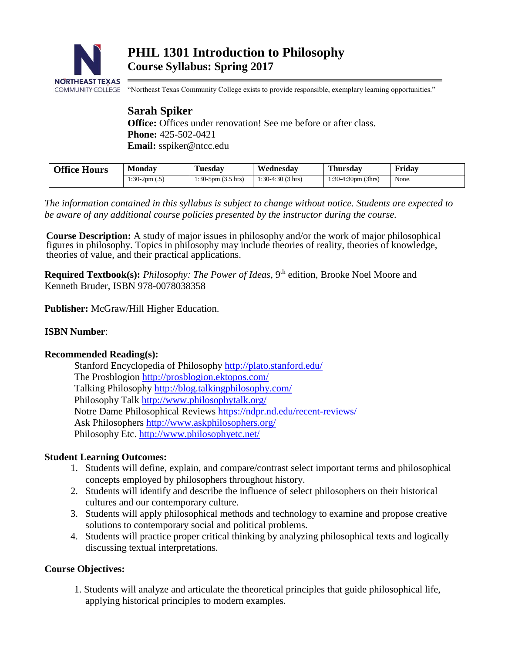

"Northeast Texas Community College exists to provide responsible, exemplary learning opportunities."

# **Sarah Spiker**

**Office:** Offices under renovation! See me before or after class. **Phone:** 425-502-0421 **Email:** sspiker@ntcc.edu

| <b>Office Hours</b> | <b>Monday</b>   | <b>Tuesday</b>                  | Wednesday          | <b>Thursday</b>       | Fridav |
|---------------------|-----------------|---------------------------------|--------------------|-----------------------|--------|
|                     | $1:30-2pm(0.5)$ | $1:30-5$ pm $(3.5 \text{ hrs})$ | $1:30-4:30(3)$ hrs | $1:30-4:30$ pm (3hrs) | None.  |
|                     |                 |                                 |                    |                       |        |

*The information contained in this syllabus is subject to change without notice. Students are expected to be aware of any additional course policies presented by the instructor during the course.*

**Course Description:** A study of major issues in philosophy and/or the work of major philosophical figures in philosophy. Topics in philosophy may include theories of reality, theories of knowledge, theories of value, and their practical applications.

**Required Textbook(s):** *Philosophy: The Power of Ideas*, 9<sup>th</sup> edition, Brooke Noel Moore and Kenneth Bruder, ISBN 978-0078038358

**Publisher:** McGraw/Hill Higher Education.

## **ISBN Number**:

## **Recommended Reading(s):**

Stanford Encyclopedia of Philosophy<http://plato.stanford.edu/> The Prosblogion<http://prosblogion.ektopos.com/> Talking Philosophy<http://blog.talkingphilosophy.com/> Philosophy Talk<http://www.philosophytalk.org/> Notre Dame Philosophical Reviews <https://ndpr.nd.edu/recent-reviews/> Ask Philosophers<http://www.askphilosophers.org/> Philosophy Etc.<http://www.philosophyetc.net/>

## **Student Learning Outcomes:**

- 1. Students will define, explain, and compare/contrast select important terms and philosophical concepts employed by philosophers throughout history.
- 2. Students will identify and describe the influence of select philosophers on their historical cultures and our contemporary culture.
- 3. Students will apply philosophical methods and technology to examine and propose creative solutions to contemporary social and political problems.
- 4. Students will practice proper critical thinking by analyzing philosophical texts and logically discussing textual interpretations.

## **Course Objectives:**

1. Students will analyze and articulate the theoretical principles that guide philosophical life, applying historical principles to modern examples.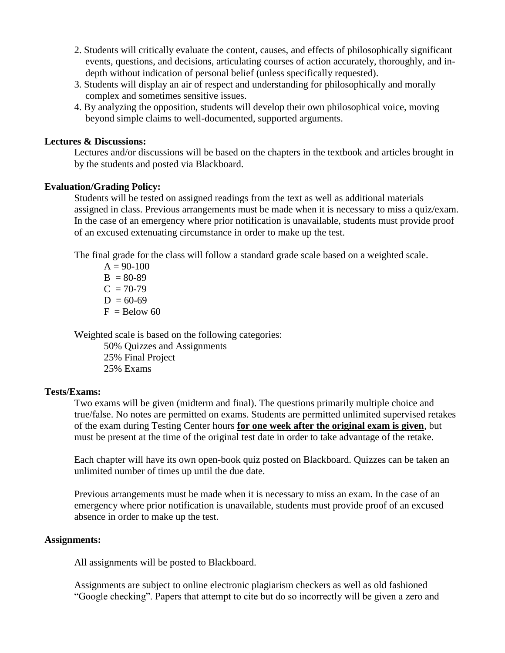- 2. Students will critically evaluate the content, causes, and effects of philosophically significant events, questions, and decisions, articulating courses of action accurately, thoroughly, and indepth without indication of personal belief (unless specifically requested).
- 3. Students will display an air of respect and understanding for philosophically and morally complex and sometimes sensitive issues.
- 4. By analyzing the opposition, students will develop their own philosophical voice, moving beyond simple claims to well-documented, supported arguments.

#### **Lectures & Discussions:**

Lectures and/or discussions will be based on the chapters in the textbook and articles brought in by the students and posted via Blackboard.

#### **Evaluation/Grading Policy:**

Students will be tested on assigned readings from the text as well as additional materials assigned in class. Previous arrangements must be made when it is necessary to miss a quiz/exam. In the case of an emergency where prior notification is unavailable, students must provide proof of an excused extenuating circumstance in order to make up the test.

The final grade for the class will follow a standard grade scale based on a weighted scale.

 $A = 90-100$  $B = 80-89$  $C = 70-79$  $D = 60-69$  $F =$ Below 60

Weighted scale is based on the following categories:

50% Quizzes and Assignments 25% Final Project 25% Exams

#### **Tests/Exams:**

Two exams will be given (midterm and final). The questions primarily multiple choice and true/false. No notes are permitted on exams. Students are permitted unlimited supervised retakes of the exam during Testing Center hours **for one week after the original exam is given**, but must be present at the time of the original test date in order to take advantage of the retake.

Each chapter will have its own open-book quiz posted on Blackboard. Quizzes can be taken an unlimited number of times up until the due date.

Previous arrangements must be made when it is necessary to miss an exam. In the case of an emergency where prior notification is unavailable, students must provide proof of an excused absence in order to make up the test.

#### **Assignments:**

All assignments will be posted to Blackboard.

Assignments are subject to online electronic plagiarism checkers as well as old fashioned "Google checking". Papers that attempt to cite but do so incorrectly will be given a zero and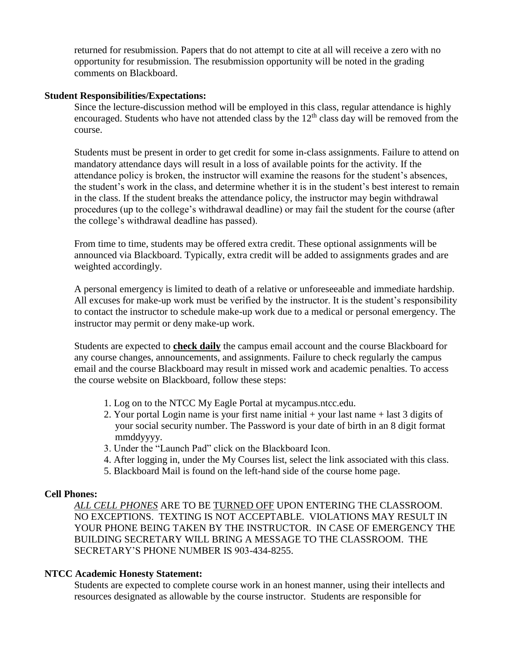returned for resubmission. Papers that do not attempt to cite at all will receive a zero with no opportunity for resubmission. The resubmission opportunity will be noted in the grading comments on Blackboard.

#### **Student Responsibilities/Expectations:**

Since the lecture-discussion method will be employed in this class, regular attendance is highly encouraged. Students who have not attended class by the  $12<sup>th</sup>$  class day will be removed from the course.

Students must be present in order to get credit for some in-class assignments. Failure to attend on mandatory attendance days will result in a loss of available points for the activity. If the attendance policy is broken, the instructor will examine the reasons for the student's absences, the student's work in the class, and determine whether it is in the student's best interest to remain in the class. If the student breaks the attendance policy, the instructor may begin withdrawal procedures (up to the college's withdrawal deadline) or may fail the student for the course (after the college's withdrawal deadline has passed).

From time to time, students may be offered extra credit. These optional assignments will be announced via Blackboard. Typically, extra credit will be added to assignments grades and are weighted accordingly.

A personal emergency is limited to death of a relative or unforeseeable and immediate hardship. All excuses for make-up work must be verified by the instructor. It is the student's responsibility to contact the instructor to schedule make-up work due to a medical or personal emergency. The instructor may permit or deny make-up work.

Students are expected to **check daily** the campus email account and the course Blackboard for any course changes, announcements, and assignments. Failure to check regularly the campus email and the course Blackboard may result in missed work and academic penalties. To access the course website on Blackboard, follow these steps:

- 1. Log on to the NTCC My Eagle Portal at mycampus.ntcc.edu.
- 2. Your portal Login name is your first name initial + your last name + last 3 digits of your social security number. The Password is your date of birth in an 8 digit format mmddyyyy.
- 3. Under the "Launch Pad" click on the Blackboard Icon.
- 4. After logging in, under the My Courses list, select the link associated with this class.
- 5. Blackboard Mail is found on the left-hand side of the course home page.

#### **Cell Phones:**

*ALL CELL PHONES* ARE TO BE TURNED OFF UPON ENTERING THE CLASSROOM. NO EXCEPTIONS. TEXTING IS NOT ACCEPTABLE. VIOLATIONS MAY RESULT IN YOUR PHONE BEING TAKEN BY THE INSTRUCTOR. IN CASE OF EMERGENCY THE BUILDING SECRETARY WILL BRING A MESSAGE TO THE CLASSROOM. THE SECRETARY'S PHONE NUMBER IS 903-434-8255.

## **NTCC Academic Honesty Statement:**

Students are expected to complete course work in an honest manner, using their intellects and resources designated as allowable by the course instructor. Students are responsible for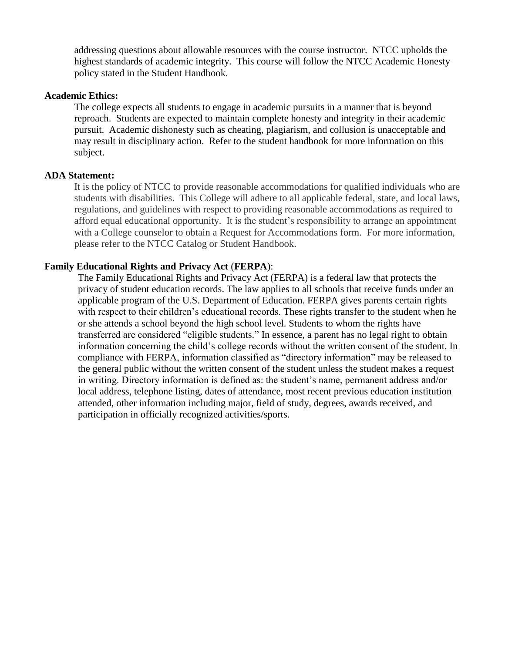addressing questions about allowable resources with the course instructor. NTCC upholds the highest standards of academic integrity. This course will follow the NTCC Academic Honesty policy stated in the Student Handbook.

#### **Academic Ethics:**

The college expects all students to engage in academic pursuits in a manner that is beyond reproach. Students are expected to maintain complete honesty and integrity in their academic pursuit. Academic dishonesty such as cheating, plagiarism, and collusion is unacceptable and may result in disciplinary action. Refer to the student handbook for more information on this subject.

#### **ADA Statement:**

It is the policy of NTCC to provide reasonable accommodations for qualified individuals who are students with disabilities. This College will adhere to all applicable federal, state, and local laws, regulations, and guidelines with respect to providing reasonable accommodations as required to afford equal educational opportunity. It is the student's responsibility to arrange an appointment with a College counselor to obtain a Request for Accommodations form. For more information, please refer to the NTCC Catalog or Student Handbook.

#### **Family Educational Rights and Privacy Act** (**FERPA**):

The Family Educational Rights and Privacy Act (FERPA) is a federal law that protects the privacy of student education records. The law applies to all schools that receive funds under an applicable program of the U.S. Department of Education. FERPA gives parents certain rights with respect to their children's educational records. These rights transfer to the student when he or she attends a school beyond the high school level. Students to whom the rights have transferred are considered "eligible students." In essence, a parent has no legal right to obtain information concerning the child's college records without the written consent of the student. In compliance with FERPA, information classified as "directory information" may be released to the general public without the written consent of the student unless the student makes a request in writing. Directory information is defined as: the student's name, permanent address and/or local address, telephone listing, dates of attendance, most recent previous education institution attended, other information including major, field of study, degrees, awards received, and participation in officially recognized activities/sports.